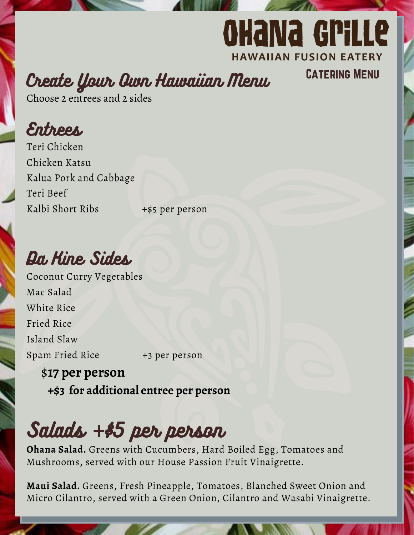## **OHANA GPILLE HAWAIIAN FUSION EATERY**

Catering Menu

Create Your Own Hawaiian Menu

Choose 2 entrees and 2 sides

Entrees

Teri Beef Kalbi Short Ribs +\$5 per person Teri Chicken Chicken Katsu Kalua Pork and Cabbage

Da Kine Sides

Coconut Curry Vegetables Mac Salad White Rice Fried Rice Island Slaw Spam Fried Rice +3 per person

### \$**17 per person +\$3 for additional entree per person**

Salads +\$5 per person

**Ohana Salad.** Greens with Cucumbers, Hard Boiled Egg, Tomatoes and Mushrooms, served with our House Passion Fruit Vinaigrette.

**Maui Salad.** Greens, Fresh Pineapple, Tomatoes, Blanched Sweet Onion and Micro Cilantro, served with a Green Onion, Cilantro and Wasabi Vinaigrette.